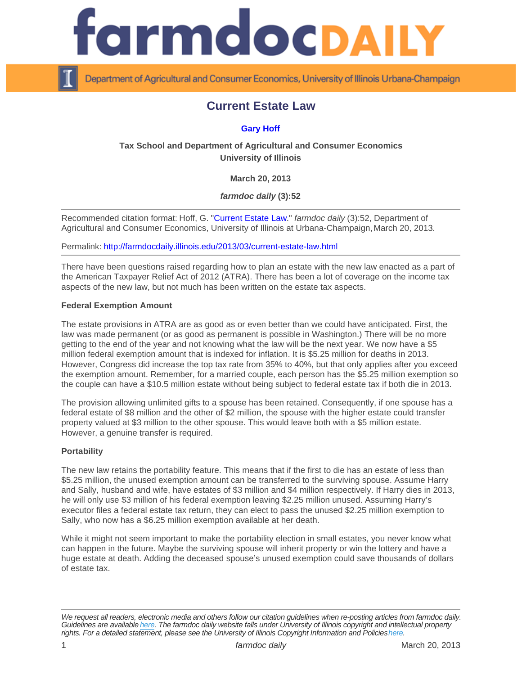# Current Estate Law

## [Gary Hoff](http://www.farmdoc.illinois.edu/hoff)

Tax School and Department of Agricultural and Consumer Economics University of Illinois

March 20, 2013

farmdoc daily (3):52

Recommended citation format: Hoff, G. ["Current Estate Law](http://farmdocdaily.illinois.edu/2013/03/current-estate-law.html)." farmdoc daily (3):52, Department of Agricultural and Consumer Economics, University of Illinois at Urbana-Champaign, March 20, 2013.

Permalink:<http://farmdocdaily.illinois.edu/2013/03/current-estate-law.html>

There have been questions raised regarding how to plan an estate with the new law enacted as a part of the American Taxpayer Relief Act of 2012 (ATRA). There has been a lot of coverage on the income tax aspects of the new law, but not much has been written on the estate tax aspects.

#### Federal Exemption Amount

The estate provisions in ATRA are as good as or even better than we could have anticipated. First, the law was made permanent (or as good as permanent is possible in Washington.) There will be no more getting to the end of the year and not knowing what the law will be the next year. We now have a \$5 million federal exemption amount that is indexed for inflation. It is \$5.25 million for deaths in 2013. However, Congress did increase the top tax rate from 35% to 40%, but that only applies after you exceed the exemption amount. Remember, for a married couple, each person has the \$5.25 million exemption so the couple can have a \$10.5 million estate without being subject to federal estate tax if both die in 2013.

The provision allowing unlimited gifts to a spouse has been retained. Consequently, if one spouse has a federal estate of \$8 million and the other of \$2 million, the spouse with the higher estate could transfer property valued at \$3 million to the other spouse. This would leave both with a \$5 million estate. However, a genuine transfer is required.

#### **Portability**

The new law retains the portability feature. This means that if the first to die has an estate of less than \$5.25 million, the unused exemption amount can be transferred to the surviving spouse. Assume Harry and Sally, husband and wife, have estates of \$3 million and \$4 million respectively. If Harry dies in 2013, he will only use \$3 million of his federal exemption leaving \$2.25 million unused. Assuming Harry's executor files a federal estate tax return, they can elect to pass the unused \$2.25 million exemption to Sally, who now has a \$6.25 million exemption available at her death.

While it might not seem important to make the portability election in small estates, you never know what can happen in the future. Maybe the surviving spouse will inherit property or win the lottery and have a huge estate at death. Adding the deceased spouse's unused exemption could save thousands of dollars of estate tax.

We request all readers, electronic media and others follow our citation guidelines when re-posting articles from farmdoc daily. Guidelines are available [here](http://farmdocdaily.illinois.edu/citationguide.html). The farmdoc daily website falls under University of Illinois copyright and intellectual property rights. For a detailed statement, please see the University of Illinois Copyright Information and Policies [here.](https://techservices.illinois.edu/office-cio)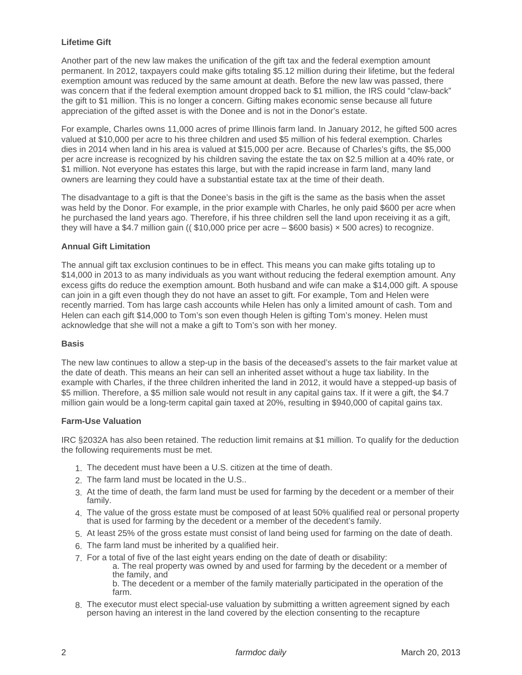## **Lifetime Gift**

Another part of the new law makes the unification of the gift tax and the federal exemption amount permanent. In 2012, taxpayers could make gifts totaling \$5.12 million during their lifetime, but the federal exemption amount was reduced by the same amount at death. Before the new law was passed, there was concern that if the federal exemption amount dropped back to \$1 million, the IRS could "claw-back" the gift to \$1 million. This is no longer a concern. Gifting makes economic sense because all future appreciation of the gifted asset is with the Donee and is not in the Donor's estate.

For example, Charles owns 11,000 acres of prime Illinois farm land. In January 2012, he gifted 500 acres valued at \$10,000 per acre to his three children and used \$5 million of his federal exemption. Charles dies in 2014 when land in his area is valued at \$15,000 per acre. Because of Charles's gifts, the \$5,000 per acre increase is recognized by his children saving the estate the tax on \$2.5 million at a 40% rate, or \$1 million. Not everyone has estates this large, but with the rapid increase in farm land, many land owners are learning they could have a substantial estate tax at the time of their death.

The disadvantage to a gift is that the Donee's basis in the gift is the same as the basis when the asset was held by the Donor. For example, in the prior example with Charles, he only paid \$600 per acre when he purchased the land years ago. Therefore, if his three children sell the land upon receiving it as a gift, they will have a \$4.7 million gain (( \$10,000 price per acre – \$600 basis) × 500 acres) to recognize.

## **Annual Gift Limitation**

The annual gift tax exclusion continues to be in effect. This means you can make gifts totaling up to \$14,000 in 2013 to as many individuals as you want without reducing the federal exemption amount. Any excess gifts do reduce the exemption amount. Both husband and wife can make a \$14,000 gift. A spouse can join in a gift even though they do not have an asset to gift. For example, Tom and Helen were recently married. Tom has large cash accounts while Helen has only a limited amount of cash. Tom and Helen can each gift \$14,000 to Tom's son even though Helen is gifting Tom's money. Helen must acknowledge that she will not a make a gift to Tom's son with her money.

#### **Basis**

The new law continues to allow a step-up in the basis of the deceased's assets to the fair market value at the date of death. This means an heir can sell an inherited asset without a huge tax liability. In the example with Charles, if the three children inherited the land in 2012, it would have a stepped-up basis of \$5 million. Therefore, a \$5 million sale would not result in any capital gains tax. If it were a gift, the \$4.7 million gain would be a long-term capital gain taxed at 20%, resulting in \$940,000 of capital gains tax.

#### **Farm-Use Valuation**

IRC §2032A has also been retained. The reduction limit remains at \$1 million. To qualify for the deduction the following requirements must be met.

- 1. The decedent must have been a U.S. citizen at the time of death.
- 2. The farm land must be located in the U.S..
- 3. At the time of death, the farm land must be used for farming by the decedent or a member of their family.
- 4. The value of the gross estate must be composed of at least 50% qualified real or personal property that is used for farming by the decedent or a member of the decedent's family.
- 5. At least 25% of the gross estate must consist of land being used for farming on the date of death.
- 6. The farm land must be inherited by a qualified heir.
- 7. For a total of five of the last eight years ending on the date of death or disability:
	- a. The real property was owned by and used for farming by the decedent or a member of the family, and

b. The decedent or a member of the family materially participated in the operation of the farm.

8. The executor must elect special-use valuation by submitting a written agreement signed by each person having an interest in the land covered by the election consenting to the recapture